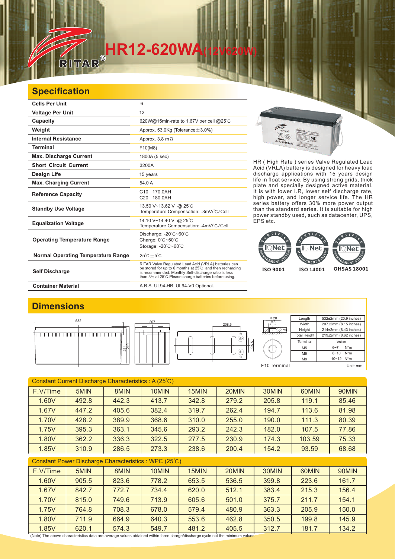## **HR12-620WA**<br>RITAR®

## **Specification**

| <b>Cells Per Unit</b>                     | 6                                                                                                                                                                                                                                 |
|-------------------------------------------|-----------------------------------------------------------------------------------------------------------------------------------------------------------------------------------------------------------------------------------|
| <b>Voltage Per Unit</b>                   | 12                                                                                                                                                                                                                                |
| Capacity                                  | 620W@15min-rate to 1.67V per cell @25°C                                                                                                                                                                                           |
| Weight                                    | Approx. 53.0Kg (Tolerance $\pm$ 3.0%)                                                                                                                                                                                             |
| <b>Internal Resistance</b>                | Approx. 3.8 m $\Omega$                                                                                                                                                                                                            |
| <b>Terminal</b>                           | F10(M8)                                                                                                                                                                                                                           |
| <b>Max. Discharge Current</b>             | 1800A (5 sec)                                                                                                                                                                                                                     |
| <b>Short Circuit Current</b>              | 3200A                                                                                                                                                                                                                             |
| Design Life                               | 15 years                                                                                                                                                                                                                          |
| <b>Max. Charging Current</b>              | 54.0 A                                                                                                                                                                                                                            |
| <b>Reference Capacity</b>                 | 170.0AH<br>C <sub>10</sub><br>C20 180.0AH                                                                                                                                                                                         |
| <b>Standby Use Voltage</b>                | 13.50 V~13.62 V @ 25°C<br>Temperature Compensation: -3mV/°C/Cell                                                                                                                                                                  |
| <b>Equalization Voltage</b>               | 14.10 V~14.40 V @ 25°C<br>Temperature Compensation: -4mV/°C/Cell                                                                                                                                                                  |
| <b>Operating Temperature Range</b>        | Discharge: -20°C~60°C<br>Charge: 0°C~50°C<br>Storage: -20°C~60°C                                                                                                                                                                  |
| <b>Normal Operating Temperature Range</b> | $25^{\circ}$ C + 5 $^{\circ}$ C                                                                                                                                                                                                   |
| <b>Self Discharge</b>                     | RITAR Valve Regulated Lead Acid (VRLA) batteries can<br>be stored for up to 6 months at 25°C and then recharging<br>is recommended. Monthly Self-discharge ratio is less<br>than 3% at 25°C.Please charge batteries before using. |
| <b>Container Material</b>                 | A.B.S. UL94-HB, UL94-V0 Optional.                                                                                                                                                                                                 |

HR ( High Rate ) series Valve Regulated Lead Acid (VRLA) battery is designed for heavy load discharge applications with 15 years design life in float service. By using strong grids, thick plate and specially designed active material. It is with lower I.R, lower self discharge rate, high power, and longer service life. The HR series battery offers 30% more power output than the standard series. It is suitable for high power standby used, such as datacenter, UPS, EPS etc.

 $\overline{M}$ 



## **Dimensions**



| Constant Current Discharge Characteristics: A (25°C)  |       |       |       |       |       |       |        |       |  |  |
|-------------------------------------------------------|-------|-------|-------|-------|-------|-------|--------|-------|--|--|
|                                                       |       |       |       |       |       |       |        |       |  |  |
| F.V/Time                                              | 5MIN  | 8MIN  | 10MIN | 15MIN | 20MIN | 30MIN | 60MIN  | 90MIN |  |  |
| 1.60V                                                 | 492.8 | 442.3 | 413.7 | 342.8 | 279.2 | 205.8 | 119.1  | 85.46 |  |  |
| 1.67V                                                 | 447.2 | 405.6 | 382.4 | 319.7 | 262.4 | 194.7 | 113.6  | 81.98 |  |  |
| 1.70V                                                 | 428.2 | 389.9 | 368.6 | 310.0 | 255.0 | 190.0 | 111.3  | 80.39 |  |  |
| 1.75V                                                 | 395.3 | 363.1 | 345.6 | 293.2 | 242.3 | 182.0 | 107.5  | 77.86 |  |  |
| 1.80V                                                 | 362.2 | 336.3 | 322.5 | 277.5 | 230.9 | 174.3 | 103.59 | 75.33 |  |  |
| 1.85V                                                 | 310.9 | 286.5 | 273.3 | 238.6 | 200.4 | 154.2 | 93.59  | 68.68 |  |  |
| Constant Power Discharge Characteristics : WPC (25°C) |       |       |       |       |       |       |        |       |  |  |
| F.V/Time                                              | 5MIN  | 8MIN  | 10MIN | 15MIN | 20MIN | 30MIN | 60MIN  | 90MIN |  |  |
| 1.60V                                                 | 905.5 | 8236  | 778.2 | 653.5 | 536.5 | 3998  | 2236   | 1617  |  |  |

1.60V | 905.5 | 823.6 | 778.2 | 653.5 | 536.5 | 399.8 | 223.6 | 161.7 1.67V | 842.7 | 772.7 | 734.4 | 620.0 | 512.1 | 383.4 | 215.3 | 156.4 1.70V | 815.0 | 749.6 | 713.9 | 605.6 | 501.0 | 375.7 | 211.7 | 154.1 1.75V | 764.8 | 708.3 | 678.0 | 579.4 | 480.9 | 363.3 | 205.9 | 150.0 1.80V | 711.9 | 664.9 | 640.3 | 553.6 | 462.8 | 350.5 | 199.8 | 145.9 1.85V | 620.1 | 574.3 | 549.7 | 481.2 | 405.5 | 312.7 | 181.7 | 134.2

(Note) The above characteristics data are average values obtained within three charge/discharge cycle not the minimum values.